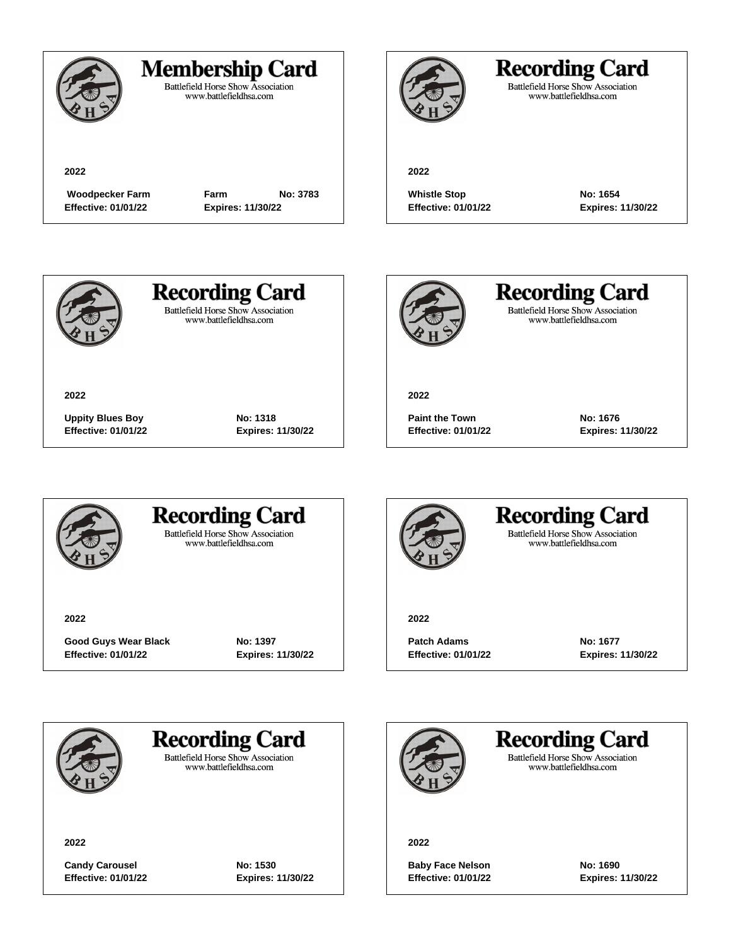

### **Membership Card**

Battlefield Horse Show Association<br>www.battlefieldhsa.com

**2022**

**Effective: 01/01/22 Expires: 11/30/22**

 **Woodpecker Farm Farm No: 3783**



## **Recording Card**

Battlefield Horse Show Association<br>www.battlefieldhsa.com

**2022**

**Whistle Stop Mo: 1654 Effective: 01/01/22 Expires: 11/30/22**



**2022**

**Recording Card Battlefield Horse Show Association** 

www.battlefieldhsa.com



**Recording Card** Battlefield Horse Show Association<br>www.battlefieldhsa.com

**2022**

**Paint the Town No: 1676 Effective: 01/01/22 Expires: 11/30/22**



### **Recording Card Battlefield Horse Show Association**

**Uppity Blues Boy No: 1318 Effective: 01/01/22 Expires: 11/30/22**

www.battlefieldhsa.com

**2022**

**Good Guys Wear Black No: 1397 Effective: 01/01/22 Expires: 11/30/22**



### **Recording Card Battlefield Horse Show Association** www.battlefieldhsa.com

**2022**

**Patch Adams No: 1677** 

**Effective: 01/01/22 Expires: 11/30/22**



## **Recording Card**

**Battlefield Horse Show Association** www.battlefieldhsa.com

**2022**

**Candy Carousel No: 1530 Effective: 01/01/22 Expires: 11/30/22**

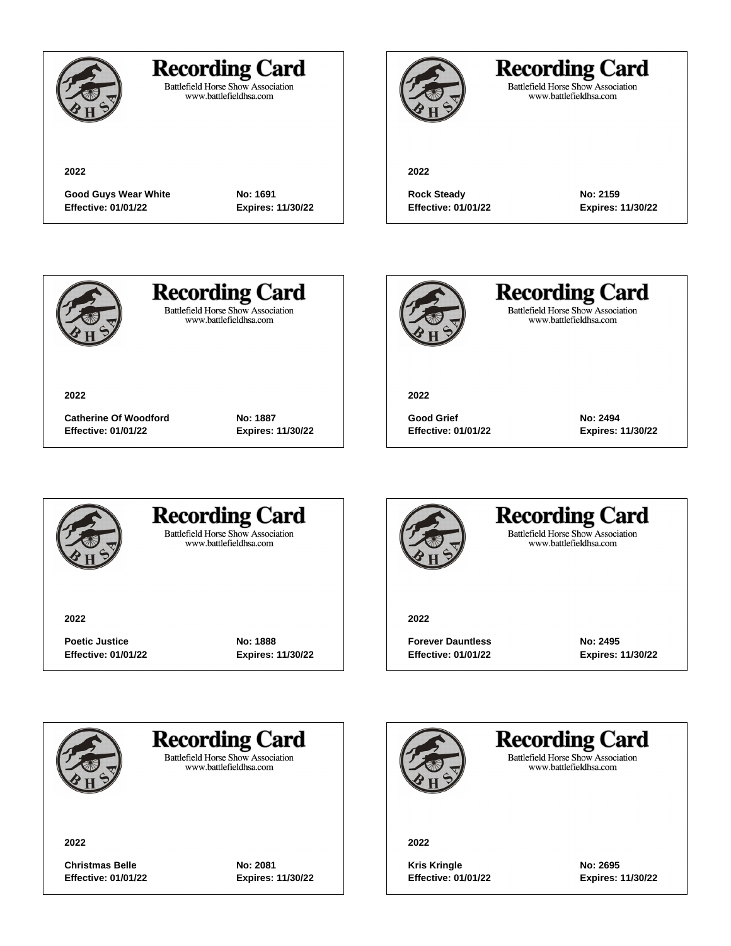

## **Recording Card**

Battlefield Horse Show Association<br>www.battlefieldhsa.com

**2022**

**Good Guys Wear White No: 1691 Effective: 01/01/22 Expires: 11/30/22**



## **Recording Card**

Battlefield Horse Show Association<br>www.battlefieldhsa.com

#### **2022**

Rock Steady **No: 2159 Effective: 01/01/22 Expires: 11/30/22**



**2022**

# **Recording Card**

**Battlefield Horse Show Association** www.battlefieldhsa.com

**Catherine Of Woodford No: 1887 Effective: 01/01/22 Expires: 11/30/22**



**Recording Card** Battlefield Horse Show Association<br>www.battlefieldhsa.com

**2022**

**Good Grief No: 2494 Effective: 01/01/22 Expires: 11/30/22**



### **Recording Card Battlefield Horse Show Association**

www.battlefieldhsa.com

**2022**

**Poetic Justice Mo: 1888 Effective: 01/01/22 Expires: 11/30/22**



#### **Recording Card Battlefield Horse Show Association** www.battlefieldhsa.com

**2022**

**Forever Dauntless No: 2495 Effective: 01/01/22 Expires: 11/30/22**



**Recording Card** 

**Battlefield Horse Show Association** www.battlefieldhsa.com

**2022**

**Christmas Belle No: 2081 Effective: 01/01/22 Expires: 11/30/22**

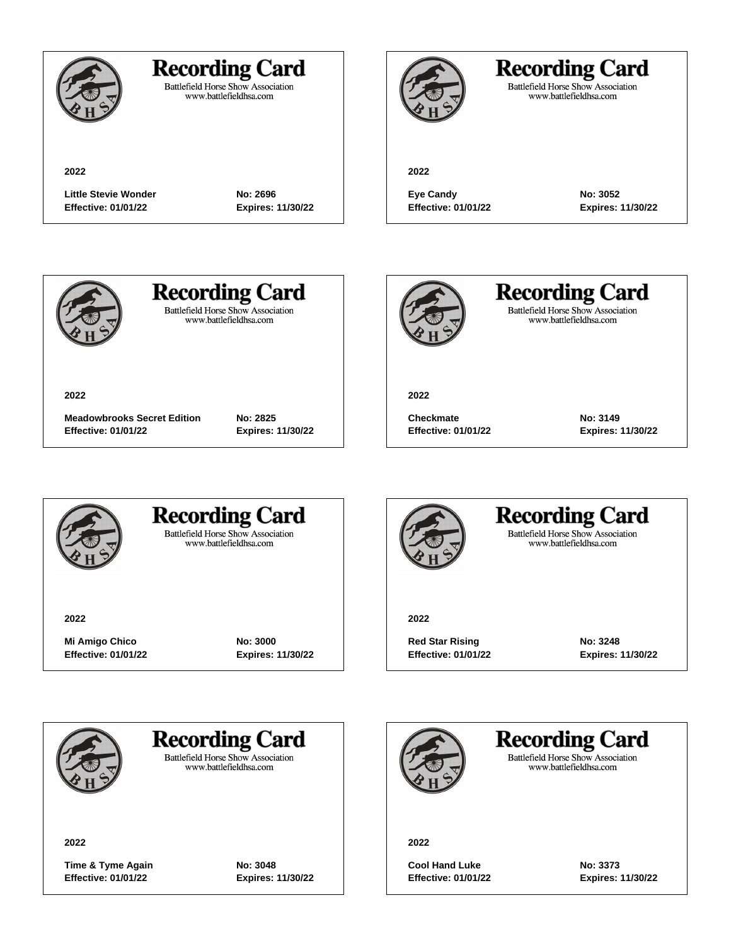

## **Recording Card**

Battlefield Horse Show Association<br>www.battlefieldhsa.com

**2022**

## **Recording Card**

Battlefield Horse Show Association<br>www.battlefieldhsa.com

**2022**

Little Stevie Wonder **No: 2696 Effective: 01/01/22 Expires: 11/30/22**

**Eye Candy No: 3052**

**Effective: 01/01/22 Expires: 11/30/22**



**2022**

# **Recording Card**

**Battlefield Horse Show Association** www.battlefieldhsa.com

**Meadowbrooks Secret Edition No: 2825 Effective: 01/01/22 Expires: 11/30/22**



**Recording Card** Battlefield Horse Show Association<br>www.battlefieldhsa.com

**2022**

**Checkmate No: 3149 Effective: 01/01/22 Expires: 11/30/22**



### **Recording Card Battlefield Horse Show Association**

www.battlefieldhsa.com

**2022**

**Mi Amigo Chico No: 3000 Effective: 01/01/22 Expires: 11/30/22**



### **Recording Card Battlefield Horse Show Association** www.battlefieldhsa.com

**2022**

**Red Star Rising**  No: 3248 **Effective: 01/01/22 Expires: 11/30/22**



## **Recording Card**

**Battlefield Horse Show Association** www.battlefieldhsa.com

**2022**

**Time & Tyme Again No: 3048 Effective: 01/01/22 Expires: 11/30/22**